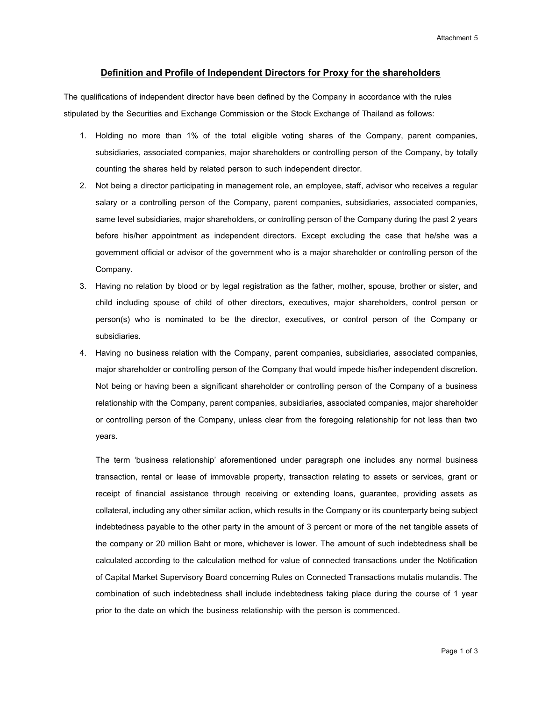## **Definition and Profile of Independent Directors for Proxy for the shareholders**

The qualifications of independent director have been defined by the Company in accordance with the rules stipulated by the Securities and Exchange Commission or the Stock Exchange of Thailand as follows:

- 1. Holding no more than 1% of the total eligible voting shares of the Company, parent companies, subsidiaries, associated companies, major shareholders or controlling person of the Company, by totally counting the shares held by related person to such independent director.
- 2. Not being a director participating in management role, an employee, staff, advisor who receives a regular salary or a controlling person of the Company, parent companies, subsidiaries, associated companies, same level subsidiaries, major shareholders, or controlling person of the Company during the past 2 years before his/her appointment as independent directors. Except excluding the case that he/she was a government official or advisor of the government who is a major shareholder or controlling person of the Company.
- 3. Having no relation by blood or by legal registration as the father, mother, spouse, brother or sister, and child including spouse of child of other directors, executives, major shareholders, control person or person(s) who is nominated to be the director, executives, or control person of the Company or subsidiaries.
- 4. Having no business relation with the Company, parent companies, subsidiaries, associated companies, major shareholder or controlling person of the Company that would impede his/her independent discretion. Not being or having been a significant shareholder or controlling person of the Company of a business relationship with the Company, parent companies, subsidiaries, associated companies, major shareholder or controlling person of the Company, unless clear from the foregoing relationship for not less than two years.

The term 'business relationship' aforementioned under paragraph one includes any normal business transaction, rental or lease of immovable property, transaction relating to assets or services, grant or receipt of financial assistance through receiving or extending loans, guarantee, providing assets as collateral, including any other similar action, which results in the Company or its counterparty being subject indebtedness payable to the other party in the amount of 3 percent or more of the net tangible assets of the company or 20 million Baht or more, whichever is lower. The amount of such indebtedness shall be calculated according to the calculation method for value of connected transactions under the Notification of Capital Market Supervisory Board concerning Rules on Connected Transactions mutatis mutandis. The combination of such indebtedness shall include indebtedness taking place during the course of 1 year prior to the date on which the business relationship with the person is commenced.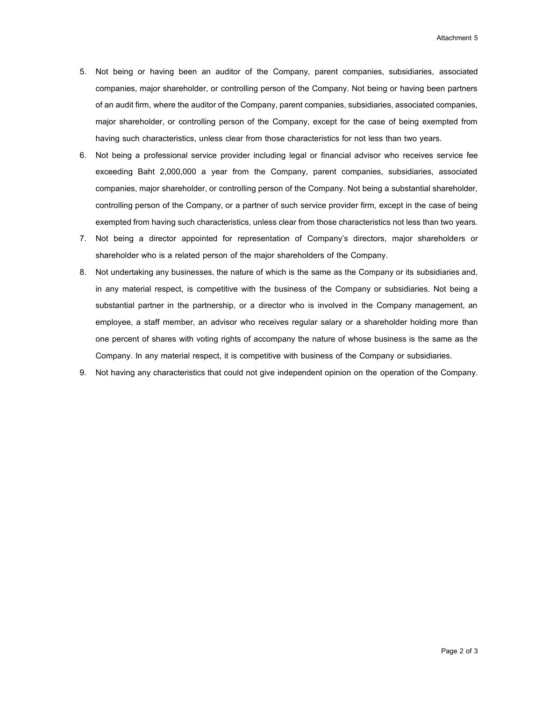- 5. Not being or having been an auditor of the Company, parent companies, subsidiaries, associated companies, major shareholder, or controlling person of the Company. Not being or having been partners of an audit firm, where the auditor of the Company, parent companies, subsidiaries, associated companies, major shareholder, or controlling person of the Company, except for the case of being exempted from having such characteristics, unless clear from those characteristics for not less than two years.
- 6. Not being a professional service provider including legal or financial advisor who receives service fee exceeding Baht 2,000,000 a year from the Company, parent companies, subsidiaries, associated companies, major shareholder, or controlling person of the Company. Not being a substantial shareholder, controlling person of the Company, or a partner of such service provider firm, except in the case of being exempted from having such characteristics, unless clear from those characteristics not less than two years.
- 7. Not being a director appointed for representation of Company's directors, major shareholders or shareholder who is a related person of the major shareholders of the Company.
- 8. Not undertaking any businesses, the nature of which is the same as the Company or its subsidiaries and, in any material respect, is competitive with the business of the Company or subsidiaries. Not being a substantial partner in the partnership, or a director who is involved in the Company management, an employee, a staff member, an advisor who receives regular salary or a shareholder holding more than one percent of shares with voting rights of accompany the nature of whose business is the same as the Company. In any material respect, it is competitive with business of the Company or subsidiaries.
- 9. Not having any characteristics that could not give independent opinion on the operation of the Company.